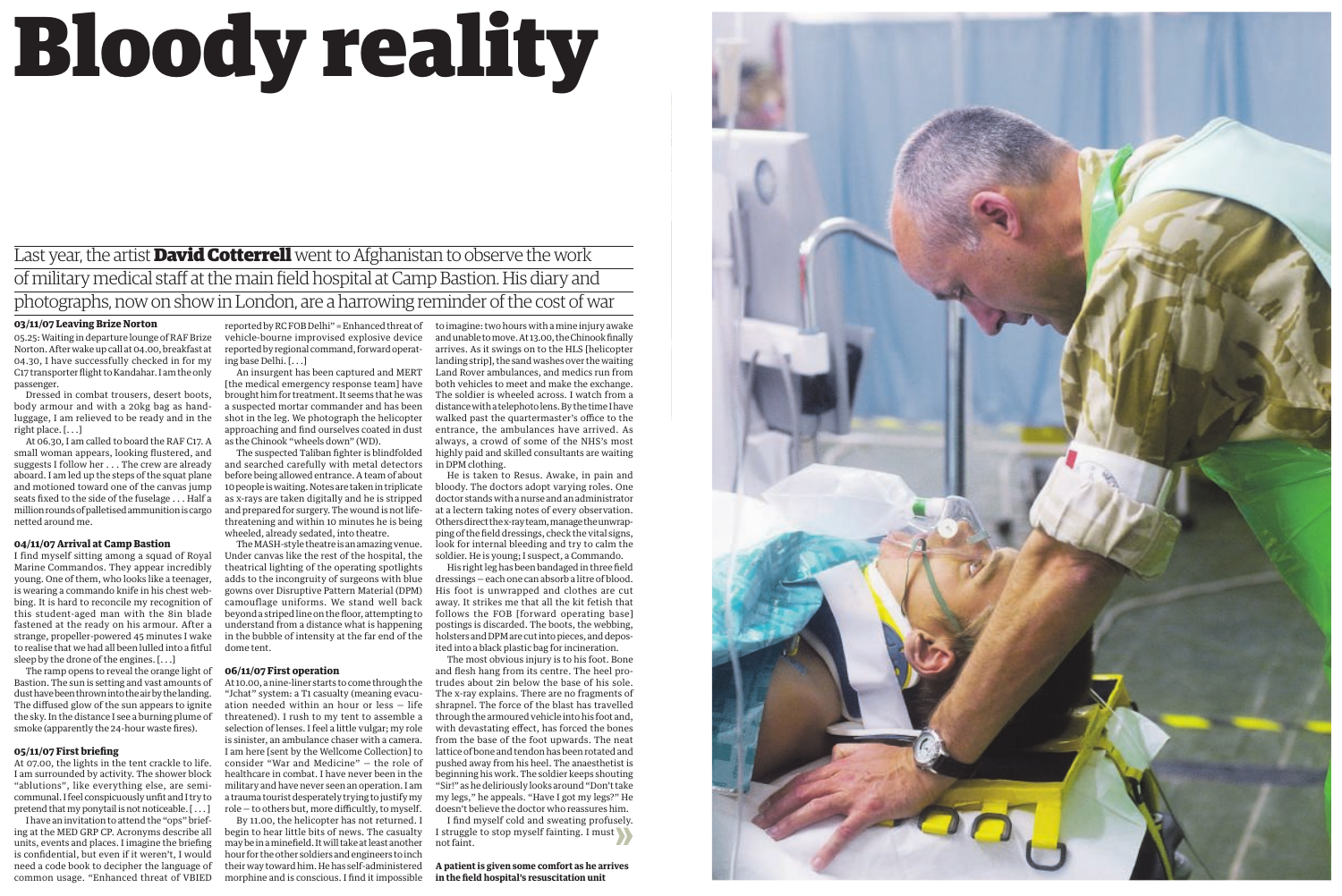Last year, the artist **David Cotterrell** went to Afghanistan to observe the work of military medical staff at the main field hospital at Camp Bastion. His diary and photographs, now on show in London, are a harrowing reminder of the cost of war

# Bloody reality

vehicle-bourne improvised explosive device reported by regional command, forward operating base Delhi. [. . .]

The suspected Taliban fighter is blindfolded and searched carefully with metal detectors before being allowed entrance. A team of about 10 people is waiting. Notes are taken in triplicate as x-rays are taken digitally and he is stripped and prepared for surgery. The wound is not lifethreatening and within 10 minutes he is being wheeled, already sedated, into theatre.

 An insurgent has been captured and MERT [the medical emergency response team] have brought him for treatment. It seems that he was a suspected mortar commander and has been shot in the leg. We photograph the helicopter approaching and find ourselves coated in dust as the Chinook "wheels down" (WD).

**06/11/07 First operation**  At 10.00, a nine-liner starts to come through the "Jchat" system: a T1 casualty (meaning evacuation needed within an hour or less — life threatened). I rush to my tent to assemble a selection of lenses. I feel a little vulgar; my role is sinister, an ambulance chaser with a camera. I am here [sent by the Wellcome Collection] to consider "War and Medicine" — the role of healthcare in combat. I have never been in the military and have never seen an operation. I am a trauma tourist desperately trying to justify my  $role - to others but, more difficulty, to myself.$ 

 By 11.00, the helicopter has not returned. I begin to hear little bits of news. The casualty may be in a minefield. It will take at least another hour for the other soldiers and engineers to inch their way toward him. He has self-administered morphine and is conscious. I find it impossible

The MASH-style theatre is an amazing venue. Under canvas like the rest of the hospital, the theatrical lighting of the operating spotlights adds to the incongruity of surgeons with blue gowns over Disruptive Pattern Material (DPM) camouflage uniforms. We stand well back beyond a striped line on the floor, attempting to understand from a distance what is happening in the bubble of intensity at the far end of the dome tent.

He is taken to Resus. Awake, in pain and bloody. The doctors adopt varying roles. One doctor stands with a nurse and an administrator at a lectern taking notes of every observation. Others direct the x-ray team, manage the unwrapping of the field dressings, check the vital signs, look for internal bleeding and try to calm the soldier. He is young; I suspect, a Commando.

reported by RC FOB Delhi" = Enhanced threat of to imagine: two hours with a mine injury awake and unable to move. At 13,00, the Chinook finally arrives. As it swings on to the HLS [helicopter landing strip], the sand washes over the waiting Land Rover ambulances, and medics run from both vehicles to meet and make the exchange. The soldier is wheeled across. I watch from a distance with a telephoto lens. By the time I have walked past the quartermaster's office to the entrance, the ambulances have arrived. As always, a crowd of some of the NHS's most highly paid and skilled consultants are waiting in DPM clothing.

> His right leg has been bandaged in three field dressings — each one can absorb a litre of blood. His foot is unwrapped and clothes are cut away. It strikes me that all the kit fetish that follows the FOB [forward operating base] postings is discarded. The boots, the webbing, holsters and DPM are cut into pieces, and deposited into a black plastic bag for incineration.

> The most obvious injury is to his foot. Bone and flesh hang from its centre. The heel protrudes about 2in below the base of his sole. The x-ray explains. There are no fragments of shrapnel. The force of the blast has travelled through the armoured vehicle into his foot and, with devastating effect, has forced the bones from the base of the foot upwards. The neat lattice of bone and tendon has been rotated and pushed away from his heel. The anaesthetist is beginning his work. The soldier keeps shouting "Sir!" as he deliriously looks around "Don't take my legs," he appeals. "Have I got my legs?" He doesn't believe the doctor who reassures him.

I find myself cold and sweating profusely. I struggle to stop myself fainting. I must<br>not faint. not faint.

Dressed in combat trousers, desert boots, body armour and with a 20kg bag as handluggage, I am relieved to be ready and in the right place.  $[...]$ 

I find myself sitting among a squad of Royal Marine Commandos. They appear incredibly young. One of them, who looks like a teenager, is wearing a commando knife in his chest webbing. It is hard to reconcile my recognition of this student-aged man with the 8in blade fastened at the ready on his armour. After a strange, propeller-powered 45 minutes I wake to realise that we had all been lulled into a fitful sleep by the drone of the engines. [. . .]

The ramp opens to reveal the orange light of Bastion. The sun is setting and vast amounts of dust have been thrown into the air by the landing. The diffused glow of the sun appears to ignite the sky. In the distance I see a burning plume of smoke (apparently the 24-hour waste fires).

At 07.00, the lights in the tent crackle to life. I am surrounded by activity. The shower block "ablutions", like everything else, are semicommunal. I feel conspicuously unfit and I try to pretend that my ponytail is not noticeable. [ . . . ]

> **A patient is given some comfort as he arrives**  in the field hospital's resuscitation unit



 **03/11/07 Leaving Brize Norton** 05.25: Waiting in departure lounge of RAF Brize Norton. After wake up call at 04.00, breakfast at 04.30, I have successfully checked in for my C17 transporter flight to Kandahar. I am the only passenger.

At 06.30, I am called to board the RAF C17. A small woman appears, looking flustered, and suggests I follow her . . . The crew are already aboard. I am led up the steps of the squat plane and motioned toward one of the canvas jump seats fixed to the side of the fuselage . . . Half a million rounds of palletised ammunition is cargo netted around me.

# 04/11/07 Arrival at Camp Bastion

 I have an invitation to attend the "ops" briefing at the MED GRP CP. Acronyms describe all units, events and places. I imagine the briefing is confidential, but even if it weren't, I would need a code book to decipher the language of common usage. "Enhanced threat of VBIED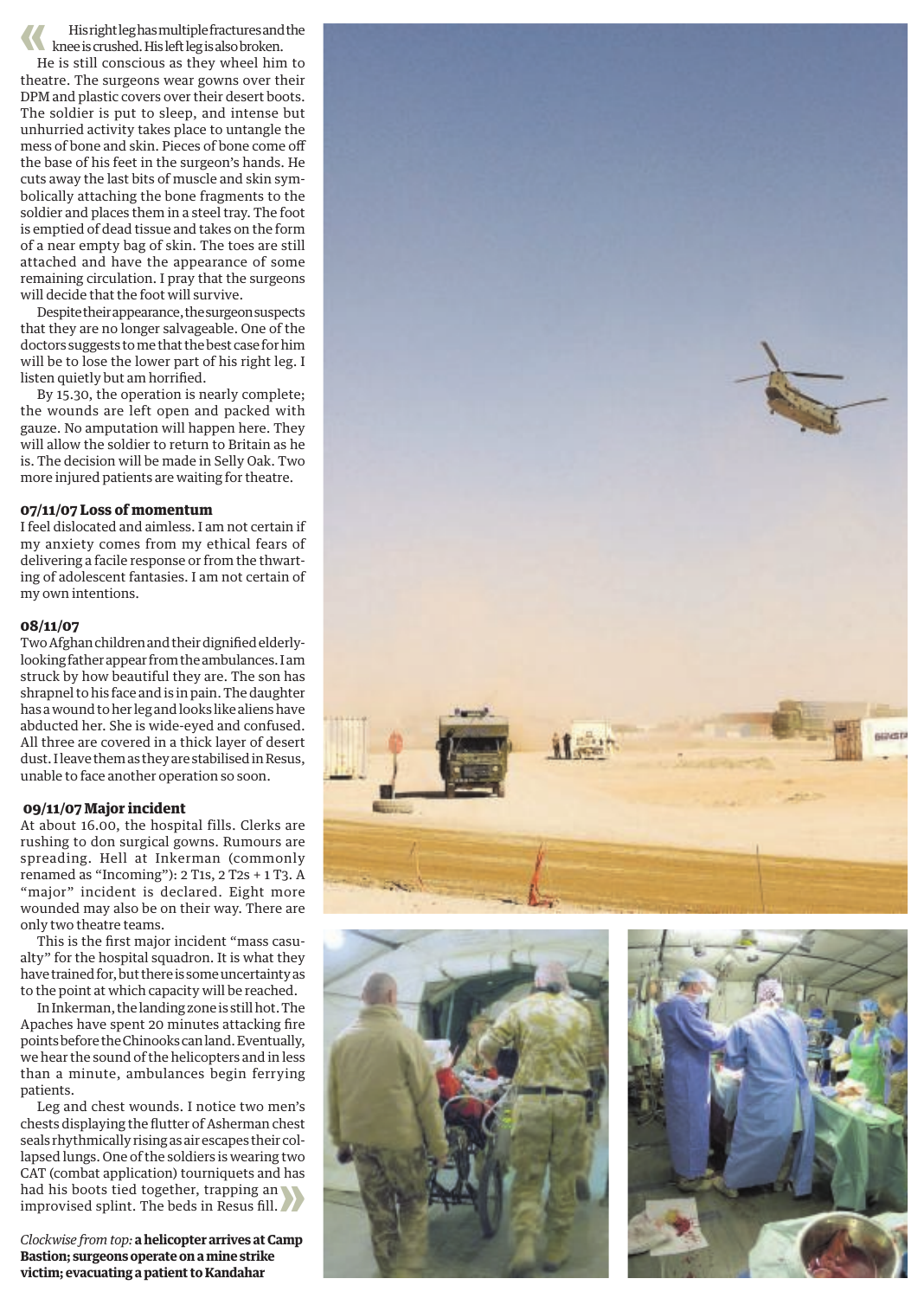His right leg has multiple fractures and the knee is crushed. His left leg is also broken.

He is still conscious as they wheel him to theatre. The surgeons wear gowns over their DPM and plastic covers over their desert boots. The soldier is put to sleep, and intense but unhurried activity takes place to untangle the mess of bone and skin. Pieces of bone come off the base of his feet in the surgeon's hands. He cuts away the last bits of muscle and skin symbolically attaching the bone fragments to the soldier and places them in a steel tray. The foot is emptied of dead tissue and takes on the form of a near empty bag of skin. The toes are still attached and have the appearance of some remaining circulation. I pray that the surgeons will decide that the foot will survive.  $\bigwedge$ 

Despite their appearance, the surgeon suspects that they are no longer salvageable. One of the doctors suggests to me that the best case for him will be to lose the lower part of his right leg. I listen quietly but am horrified.

 By 15.30, the operation is nearly complete; the wounds are left open and packed with gauze. No amputation will happen here. They will allow the soldier to return to Britain as he is. The decision will be made in Selly Oak. Two more injured patients are waiting for theatre.

## **07/11/07 Loss of momentum**

I feel dislocated and aimless. I am not certain if my anxiety comes from my ethical fears of delivering a facile response or from the thwarting of adolescent fantasies. I am not certain of my own intentions.

### **08/11/07**

Two Afghan children and their dignified elderlylooking father appear from the ambulances. I am struck by how beautiful they are. The son has shrapnel to his face and is in pain. The daughter has a wound to her leg and looks like aliens have abducted her. She is wide-eyed and confused. All three are covered in a thick layer of desert dust. I leave them as they are stabilised in Resus, unable to face another operation so soon.

# **09/11/07 Major incident**

At about 16.00, the hospital fills. Clerks are rushing to don surgical gowns. Rumours are spreading. Hell at Inkerman (commonly renamed as "Incoming"): 2 T1s, 2 T2s + 1 T3. A "major" incident is declared. Eight more wounded may also be on their way. There are only two theatre teams.

This is the first major incident "mass casualty" for the hospital squadron. It is what they have trained for, but there is some uncertainty as to the point at which capacity will be reached.

In Inkerman, the landing zone is still hot. The Apaches have spent 20 minutes attacking fire points before the Chinooks can land. Eventually, we hear the sound of the helicopters and in less than a minute, ambulances begin ferrying patients.

 Leg and chest wounds. I notice two men's chests displaying the flutter of Asherman chest seals rhythmically rising as air escapes their collapsed lungs. One of the soldiers is wearing two CAT (combat application) tourniquets and has had his boots tied together, trapping an improvised splint. The beds in Resus fill.  $\Delta$ →

*Clockwise from top:* **a helicopter arrives at Camp Bastion; surgeons operate on a mine strike victim; evacuating a patient to Kandahar**